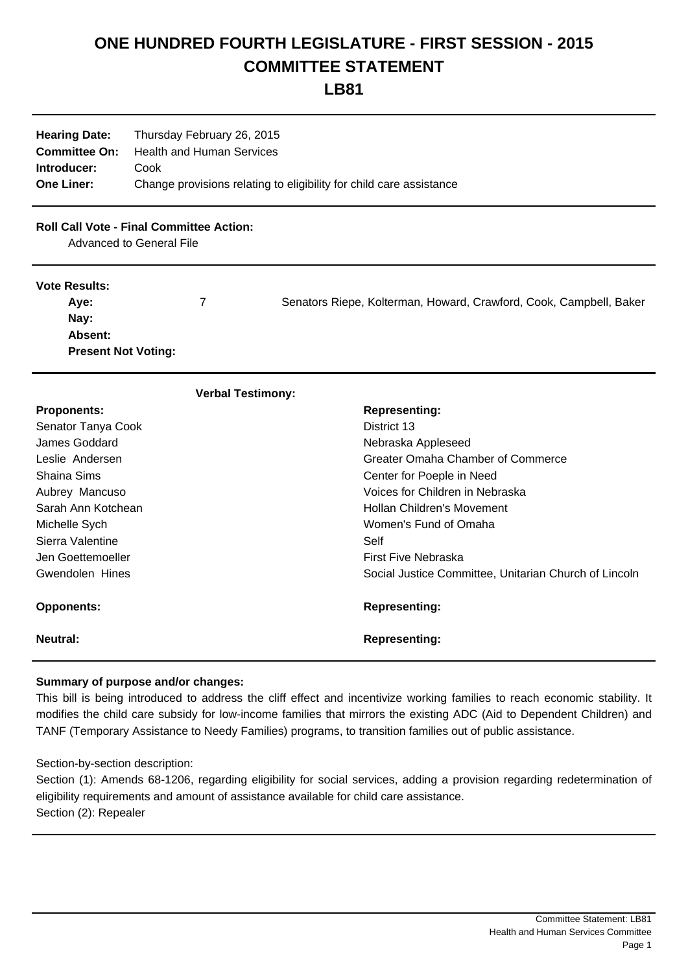# **ONE HUNDRED FOURTH LEGISLATURE - FIRST SESSION - 2015 COMMITTEE STATEMENT**

## **LB81**

| <b>Hearing Date:</b> | Thursday February 26, 2015                                          |
|----------------------|---------------------------------------------------------------------|
| <b>Committee On:</b> | <b>Health and Human Services</b>                                    |
| Introducer:          | Cook                                                                |
| <b>One Liner:</b>    | Change provisions relating to eligibility for child care assistance |

### **Roll Call Vote - Final Committee Action:**

Advanced to General File

#### **Vote Results:**

| Ave:                       | Senators Riepe, Kolterman, Howard, Crawford, Cook, Campbell, Baker |
|----------------------------|--------------------------------------------------------------------|
| Nay:                       |                                                                    |
| <b>Absent:</b>             |                                                                    |
| <b>Present Not Voting:</b> |                                                                    |

#### **Verbal Testimony:**

| <b>Proponents:</b> | <b>Representing:</b>                                  |
|--------------------|-------------------------------------------------------|
| Senator Tanya Cook | District 13                                           |
| James Goddard      | Nebraska Appleseed                                    |
| Leslie Andersen    | Greater Omaha Chamber of Commerce                     |
| Shaina Sims        | Center for Poeple in Need                             |
| Aubrey Mancuso     | Voices for Children in Nebraska                       |
| Sarah Ann Kotchean | Hollan Children's Movement                            |
| Michelle Sych      | Women's Fund of Omaha                                 |
| Sierra Valentine   | Self                                                  |
| Jen Goettemoeller  | First Five Nebraska                                   |
| Gwendolen Hines    | Social Justice Committee, Unitarian Church of Lincoln |
| <b>Opponents:</b>  | <b>Representing:</b>                                  |
| Neutral:           | <b>Representing:</b>                                  |

#### **Summary of purpose and/or changes:**

This bill is being introduced to address the cliff effect and incentivize working families to reach economic stability. It modifies the child care subsidy for low-income families that mirrors the existing ADC (Aid to Dependent Children) and TANF (Temporary Assistance to Needy Families) programs, to transition families out of public assistance.

Section-by-section description:

Section (1): Amends 68-1206, regarding eligibility for social services, adding a provision regarding redetermination of eligibility requirements and amount of assistance available for child care assistance. Section (2): Repealer